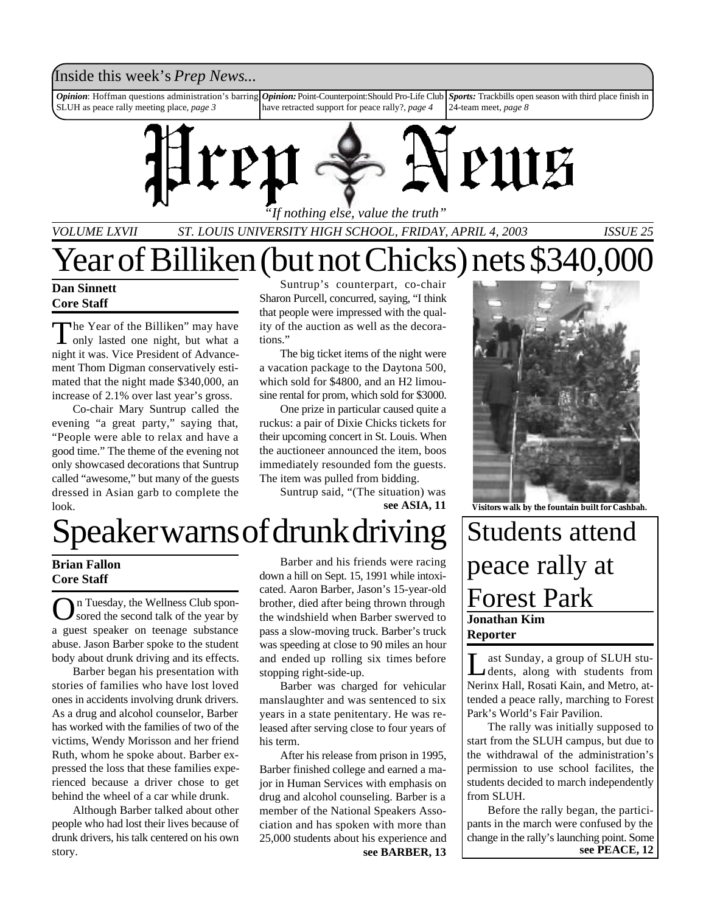#### Inside this week's *Prep News*...

*Opinion*: Hoffman questions administration's barring SLUH as peace rally meeting place, *page 3 Opinion:* Point-Counterpoint:Should Pro-Life Club have retracted support for peace rally?, *page 4 Sports:* Trackbills open season with third place finish in 24-team meet, *page 8*



*"If nothing else, value the truth"*

*VOLUME LXVII ST. LOUIS UNIVERSITY HIGH SCHOOL, FRIDAY, APRIL 4, 2003 ISSUE 25*

#### **Dan Sinnett Core Staff**

The Year of the Billiken" may have<br>only lasted one night, but what a he Year of the Billiken" may have night it was. Vice President of Advancement Thom Digman conservatively estimated that the night made \$340,000, an increase of 2.1% over last year's gross.

Co-chair Mary Suntrup called the evening "a great party," saying that, "People were able to relax and have a good time." The theme of the evening not only showcased decorations that Suntrup called "awesome," but many of the guests dressed in Asian garb to complete the look.

Suntrup's counterpart, co-chair Sharon Purcell, concurred, saying, "I think that people were impressed with the quality of the auction as well as the decorations."

Year of Billiken (but not Chicks) nets \$340,000

The big ticket items of the night were a vacation package to the Daytona 500, which sold for \$4800, and an H2 limousine rental for prom, which sold for \$3000.

One prize in particular caused quite a ruckus: a pair of Dixie Chicks tickets for their upcoming concert in St. Louis. When the auctioneer announced the item, boos immediately resounded fom the guests. The item was pulled from bidding.

**see ASIA, 11** Suntrup said, "(The situation) was



**Visitors walk by the fountain built for Cashbah.**

# Speaker warns of drunk driving

#### **Brian Fallon Core Staff**

On Tuesday, the Wellness Club spon-<br>Sored the second talk of the year by sored the second talk of the year by a guest speaker on teenage substance abuse. Jason Barber spoke to the student body about drunk driving and its effects.

Barber began his presentation with stories of families who have lost loved ones in accidents involving drunk drivers. As a drug and alcohol counselor, Barber has worked with the families of two of the victims, Wendy Morisson and her friend Ruth, whom he spoke about. Barber expressed the loss that these families experienced because a driver chose to get behind the wheel of a car while drunk.

Although Barber talked about other people who had lost their lives because of drunk drivers, his talk centered on his own story.

Barber and his friends were racing down a hill on Sept. 15, 1991 while intoxicated. Aaron Barber, Jason's 15-year-old brother, died after being thrown through the windshield when Barber swerved to pass a slow-moving truck. Barber's truck was speeding at close to 90 miles an hour and ended up rolling six times before stopping right-side-up.

Barber was charged for vehicular manslaughter and was sentenced to six years in a state penitentary. He was released after serving close to four years of his term.

After his release from prison in 1995, Barber finished college and earned a major in Human Services with emphasis on drug and alcohol counseling. Barber is a member of the National Speakers Association and has spoken with more than 25,000 students about his experience and **see BARBER, 13 see PEACE, 12**

# **Jonathan Kim Reporter** Students attend peace rally at Forest Park

Last Sunday, a group of SLUH students, along with students from<br>Nerinx Hall, Rosati Kain, and Metro, atast Sunday, a group of SLUH students, along with students from tended a peace rally, marching to Forest Park's World's Fair Pavilion.

The rally was initially supposed to start from the SLUH campus, but due to the withdrawal of the administration's permission to use school facilites, the students decided to march independently from SLUH.

Before the rally began, the participants in the march were confused by the change in the rally's launching point. Some<br>see PEACE, 12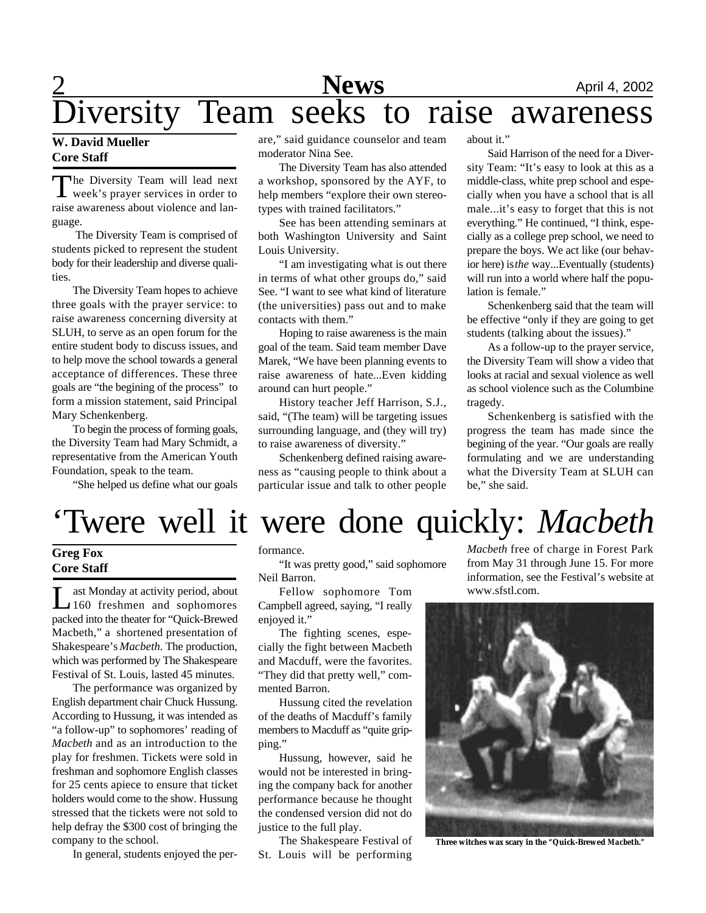# **2 News** April 4, 2002

Diversity Team seeks to raise awareness

#### **W. David Mueller Core Staff**

The Diversity Team will lead next<br>week's prayer services in order to he Diversity Team will lead next raise awareness about violence and language.

 The Diversity Team is comprised of students picked to represent the student body for their leadership and diverse qualities.

The Diversity Team hopes to achieve three goals with the prayer service: to raise awareness concerning diversity at SLUH, to serve as an open forum for the entire student body to discuss issues, and to help move the school towards a general acceptance of differences. These three goals are "the begining of the process" to form a mission statement, said Principal Mary Schenkenberg.

To begin the process of forming goals, the Diversity Team had Mary Schmidt, a representative from the American Youth Foundation, speak to the team.

"She helped us define what our goals

are," said guidance counselor and team moderator Nina See.

The Diversity Team has also attended a workshop, sponsored by the AYF, to help members "explore their own stereotypes with trained facilitators."

See has been attending seminars at both Washington University and Saint Louis University.

"I am investigating what is out there in terms of what other groups do," said See. "I want to see what kind of literature (the universities) pass out and to make contacts with them."

Hoping to raise awareness is the main goal of the team. Said team member Dave Marek, "We have been planning events to raise awareness of hate...Even kidding around can hurt people."

History teacher Jeff Harrison, S.J., said, "(The team) will be targeting issues surrounding language, and (they will try) to raise awareness of diversity."

Schenkenberg defined raising awareness as "causing people to think about a particular issue and talk to other people about it."

Said Harrison of the need for a Diversity Team: "It's easy to look at this as a middle-class, white prep school and especially when you have a school that is all male...it's easy to forget that this is not everything." He continued, "I think, especially as a college prep school, we need to prepare the boys. We act like (our behavior here) is *the* way...Eventually (students) will run into a world where half the population is female."

Schenkenberg said that the team will be effective "only if they are going to get students (talking about the issues)."

As a follow-up to the prayer service, the Diversity Team will show a video that looks at racial and sexual violence as well as school violence such as the Columbine tragedy.

Schenkenberg is satisfied with the progress the team has made since the begining of the year. "Our goals are really formulating and we are understanding what the Diversity Team at SLUH can be," she said.

# 'Twere well it were done quickly: *Macbeth*

#### **Greg Fox Core Staff**

Let Monday at activity period, about<br>
160 freshmen and sophomores ast Monday at activity period, about packed into the theater for "Quick-Brewed Macbeth," a shortened presentation of Shakespeare's *Macbeth*. The production, which was performed by The Shakespeare Festival of St. Louis, lasted 45 minutes.

The performance was organized by English department chair Chuck Hussung. According to Hussung, it was intended as "a follow-up" to sophomores' reading of *Macbeth* and as an introduction to the play for freshmen. Tickets were sold in freshman and sophomore English classes for 25 cents apiece to ensure that ticket holders would come to the show. Hussung stressed that the tickets were not sold to help defray the \$300 cost of bringing the company to the school.

In general, students enjoyed the per-

formance.

"It was pretty good," said sophomore Neil Barron.

Fellow sophomore Tom Campbell agreed, saying, "I really enjoyed it."

The fighting scenes, especially the fight between Macbeth and Macduff, were the favorites. "They did that pretty well," commented Barron.

Hussung cited the revelation of the deaths of Macduff's family members to Macduff as "quite gripping."

Hussung, however, said he would not be interested in bringing the company back for another performance because he thought the condensed version did not do justice to the full play.

The Shakespeare Festival of St. Louis will be performing

*Macbeth* free of charge in Forest Park from May 31 through June 15. For more information, see the Festival's website at www.sfstl.com.



**Three witches wax scary in the "Quick-Brewed** *Macbeth."*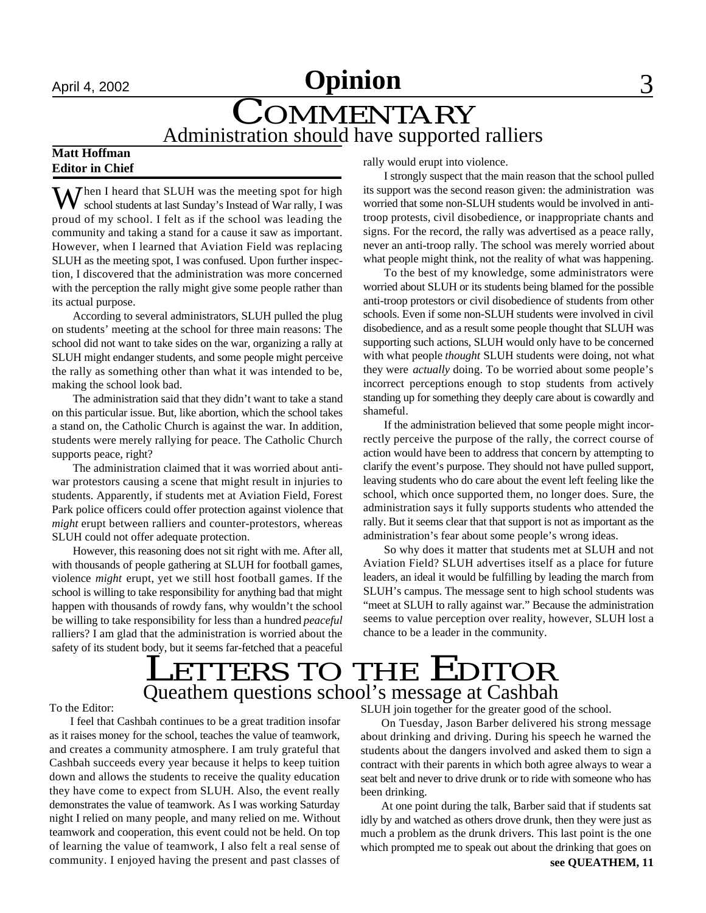# April 4, 2002 **Opinion** 3

# **COMMENTARY** Administration should have supported ralliers

#### **Matt Hoffman Editor in Chief**

When I heard that SLUH was the meeting spot for high school students at last Sunday's Instead of War rally, I was proud of my school. I felt as if the school was leading the community and taking a stand for a cause it saw as important. However, when I learned that Aviation Field was replacing SLUH as the meeting spot, I was confused. Upon further inspection, I discovered that the administration was more concerned with the perception the rally might give some people rather than its actual purpose.

According to several administrators, SLUH pulled the plug on students' meeting at the school for three main reasons: The school did not want to take sides on the war, organizing a rally at SLUH might endanger students, and some people might perceive the rally as something other than what it was intended to be, making the school look bad.

The administration said that they didn't want to take a stand on this particular issue. But, like abortion, which the school takes a stand on, the Catholic Church is against the war. In addition, students were merely rallying for peace. The Catholic Church supports peace, right?

The administration claimed that it was worried about antiwar protestors causing a scene that might result in injuries to students. Apparently, if students met at Aviation Field, Forest Park police officers could offer protection against violence that *might* erupt between ralliers and counter-protestors, whereas SLUH could not offer adequate protection.

However, this reasoning does not sit right with me. After all, with thousands of people gathering at SLUH for football games, violence *might* erupt, yet we still host football games. If the school is willing to take responsibility for anything bad that might happen with thousands of rowdy fans, why wouldn't the school be willing to take responsibility for less than a hundred *peaceful* ralliers? I am glad that the administration is worried about the safety of its student body, but it seems far-fetched that a peaceful rally would erupt into violence.

I strongly suspect that the main reason that the school pulled its support was the second reason given: the administration was worried that some non-SLUH students would be involved in antitroop protests, civil disobedience, or inappropriate chants and signs. For the record, the rally was advertised as a peace rally, never an anti-troop rally. The school was merely worried about what people might think, not the reality of what was happening.

To the best of my knowledge, some administrators were worried about SLUH or its students being blamed for the possible anti-troop protestors or civil disobedience of students from other schools. Even if some non-SLUH students were involved in civil disobedience, and as a result some people thought that SLUH was supporting such actions, SLUH would only have to be concerned with what people *thought* SLUH students were doing, not what they were *actually* doing. To be worried about some people's incorrect perceptions enough to stop students from actively standing up for something they deeply care about is cowardly and shameful.

If the administration believed that some people might incorrectly perceive the purpose of the rally, the correct course of action would have been to address that concern by attempting to clarify the event's purpose. They should not have pulled support, leaving students who do care about the event left feeling like the school, which once supported them, no longer does. Sure, the administration says it fully supports students who attended the rally. But it seems clear that that support is not as important as the administration's fear about some people's wrong ideas.

So why does it matter that students met at SLUH and not Aviation Field? SLUH advertises itself as a place for future leaders, an ideal it would be fulfilling by leading the march from SLUH's campus. The message sent to high school students was "meet at SLUH to rally against war." Because the administration seems to value perception over reality, however, SLUH lost a chance to be a leader in the community.

## LETTERS TO THE EDITOR Queathem questions school's message at Cashbah

To the Editor:

I feel that Cashbah continues to be a great tradition insofar as it raises money for the school, teaches the value of teamwork, and creates a community atmosphere. I am truly grateful that Cashbah succeeds every year because it helps to keep tuition down and allows the students to receive the quality education they have come to expect from SLUH. Also, the event really demonstrates the value of teamwork. As I was working Saturday night I relied on many people, and many relied on me. Without teamwork and cooperation, this event could not be held. On top of learning the value of teamwork, I also felt a real sense of community. I enjoyed having the present and past classes of

SLUH join together for the greater good of the school.

On Tuesday, Jason Barber delivered his strong message about drinking and driving. During his speech he warned the students about the dangers involved and asked them to sign a contract with their parents in which both agree always to wear a seat belt and never to drive drunk or to ride with someone who has been drinking.

At one point during the talk, Barber said that if students sat idly by and watched as others drove drunk, then they were just as much a problem as the drunk drivers. This last point is the one which prompted me to speak out about the drinking that goes on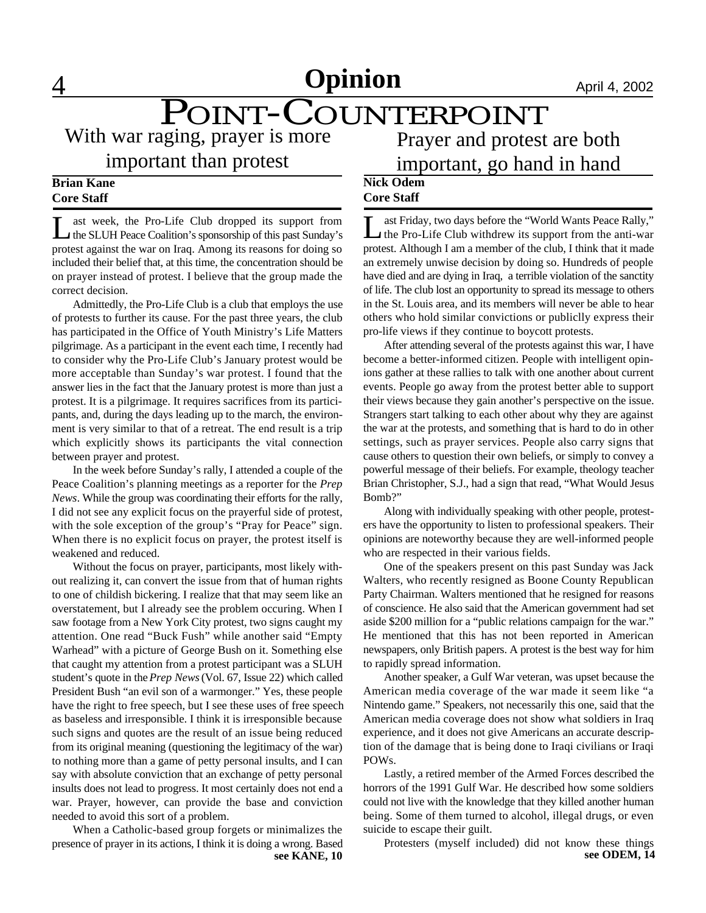# POINT-COUNTERPOINT

With war raging, prayer is more important than protest

## Prayer and protest are both important, go hand in hand

#### **Brian Kane Core Staff**

L ast week, the Pro-Life Club dropped its support from<br>the SLUH Peace Coalition's sponsorship of this past Sunday's ast week, the Pro-Life Club dropped its support from protest against the war on Iraq. Among its reasons for doing so included their belief that, at this time, the concentration should be on prayer instead of protest. I believe that the group made the correct decision.

Admittedly, the Pro-Life Club is a club that employs the use of protests to further its cause. For the past three years, the club has participated in the Office of Youth Ministry's Life Matters pilgrimage. As a participant in the event each time, I recently had to consider why the Pro-Life Club's January protest would be more acceptable than Sunday's war protest. I found that the answer lies in the fact that the January protest is more than just a protest. It is a pilgrimage. It requires sacrifices from its participants, and, during the days leading up to the march, the environment is very similar to that of a retreat. The end result is a trip which explicitly shows its participants the vital connection between prayer and protest.

In the week before Sunday's rally, I attended a couple of the Peace Coalition's planning meetings as a reporter for the *Prep News*. While the group was coordinating their efforts for the rally, I did not see any explicit focus on the prayerful side of protest, with the sole exception of the group's "Pray for Peace" sign. When there is no explicit focus on prayer, the protest itself is weakened and reduced.

Without the focus on prayer, participants, most likely without realizing it, can convert the issue from that of human rights to one of childish bickering. I realize that that may seem like an overstatement, but I already see the problem occuring. When I saw footage from a New York City protest, two signs caught my attention. One read "Buck Fush" while another said "Empty Warhead" with a picture of George Bush on it. Something else that caught my attention from a protest participant was a SLUH student's quote in the *Prep News* (Vol. 67, Issue 22) which called President Bush "an evil son of a warmonger." Yes, these people have the right to free speech, but I see these uses of free speech as baseless and irresponsible. I think it is irresponsible because such signs and quotes are the result of an issue being reduced from its original meaning (questioning the legitimacy of the war) to nothing more than a game of petty personal insults, and I can say with absolute conviction that an exchange of petty personal insults does not lead to progress. It most certainly does not end a war. Prayer, however, can provide the base and conviction needed to avoid this sort of a problem.

When a Catholic-based group forgets or minimalizes the presence of prayer in its actions, I think it is doing a wrong. Based **see KANE, 10** 

#### **Nick Odem Core Staff**

Let Friday, two days before the "World Wants Peace Rally,"<br>the Pro-Life Club withdrew its support from the anti-war ast Friday, two days before the "World Wants Peace Rally," protest. Although I am a member of the club, I think that it made an extremely unwise decision by doing so. Hundreds of people have died and are dying in Iraq, a terrible violation of the sanctity of life. The club lost an opportunity to spread its message to others in the St. Louis area, and its members will never be able to hear others who hold similar convictions or publiclly express their pro-life views if they continue to boycott protests.

After attending several of the protests against this war, I have become a better-informed citizen. People with intelligent opinions gather at these rallies to talk with one another about current events. People go away from the protest better able to support their views because they gain another's perspective on the issue. Strangers start talking to each other about why they are against the war at the protests, and something that is hard to do in other settings, such as prayer services. People also carry signs that cause others to question their own beliefs, or simply to convey a powerful message of their beliefs. For example, theology teacher Brian Christopher, S.J., had a sign that read, "What Would Jesus Bomb?"

Along with individually speaking with other people, protesters have the opportunity to listen to professional speakers. Their opinions are noteworthy because they are well-informed people who are respected in their various fields.

One of the speakers present on this past Sunday was Jack Walters, who recently resigned as Boone County Republican Party Chairman. Walters mentioned that he resigned for reasons of conscience. He also said that the American government had set aside \$200 million for a "public relations campaign for the war." He mentioned that this has not been reported in American newspapers, only British papers. A protest is the best way for him to rapidly spread information.

Another speaker, a Gulf War veteran, was upset because the American media coverage of the war made it seem like "a Nintendo game." Speakers, not necessarily this one, said that the American media coverage does not show what soldiers in Iraq experience, and it does not give Americans an accurate description of the damage that is being done to Iraqi civilians or Iraqi POWs.

Lastly, a retired member of the Armed Forces described the horrors of the 1991 Gulf War. He described how some soldiers could not live with the knowledge that they killed another human being. Some of them turned to alcohol, illegal drugs, or even suicide to escape their guilt.

Protesters (myself included) did not know these things see ODEM, 14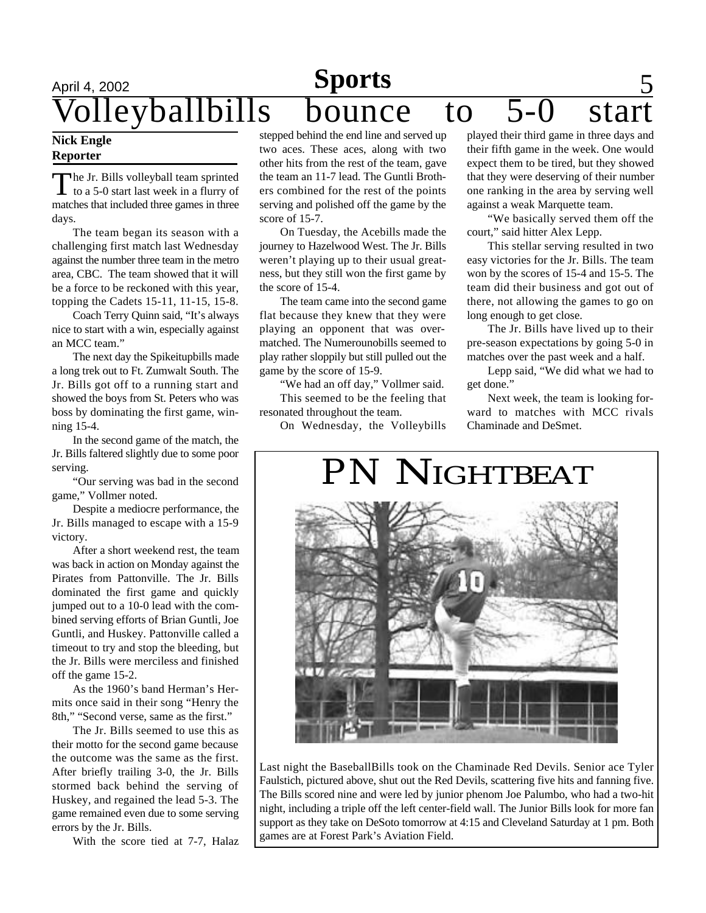# April 4, 2002<br>**Wolleyballbills** bounce olleyballbills bounce to 5-0 star

#### **Nick Engle Reporter**

The Jr. Bills volleyball team sprinted<br>to a 5-0 start last week in a flurry of he Jr. Bills volleyball team sprinted matches that included three games in three days.

The team began its season with a challenging first match last Wednesday against the number three team in the metro area, CBC. The team showed that it will be a force to be reckoned with this year, topping the Cadets 15-11, 11-15, 15-8.

Coach Terry Quinn said, "It's always nice to start with a win, especially against an MCC team."

The next day the Spikeitupbills made a long trek out to Ft. Zumwalt South. The Jr. Bills got off to a running start and showed the boys from St. Peters who was boss by dominating the first game, winning 15-4.

In the second game of the match, the Jr. Bills faltered slightly due to some poor serving.

"Our serving was bad in the second game," Vollmer noted.

Despite a mediocre performance, the Jr. Bills managed to escape with a 15-9 victory.

After a short weekend rest, the team was back in action on Monday against the Pirates from Pattonville. The Jr. Bills dominated the first game and quickly jumped out to a 10-0 lead with the combined serving efforts of Brian Guntli, Joe Guntli, and Huskey. Pattonville called a timeout to try and stop the bleeding, but the Jr. Bills were merciless and finished off the game 15-2.

As the 1960's band Herman's Hermits once said in their song "Henry the 8th," "Second verse, same as the first."

The Jr. Bills seemed to use this as their motto for the second game because the outcome was the same as the first. After briefly trailing 3-0, the Jr. Bills stormed back behind the serving of Huskey, and regained the lead 5-3. The game remained even due to some serving errors by the Jr. Bills.

With the score tied at 7-7, Halaz

stepped behind the end line and served up two aces. These aces, along with two other hits from the rest of the team, gave the team an 11-7 lead. The Guntli Brothers combined for the rest of the points serving and polished off the game by the score of 15-7.

On Tuesday, the Acebills made the journey to Hazelwood West. The Jr. Bills weren't playing up to their usual greatness, but they still won the first game by the score of 15-4.

The team came into the second game flat because they knew that they were playing an opponent that was overmatched. The Numerounobills seemed to play rather sloppily but still pulled out the game by the score of 15-9.

"We had an off day," Vollmer said. This seemed to be the feeling that resonated throughout the team.

On Wednesday, the Volleybills

played their third game in three days and their fifth game in the week. One would expect them to be tired, but they showed that they were deserving of their number one ranking in the area by serving well against a weak Marquette team.

"We basically served them off the court," said hitter Alex Lepp.

This stellar serving resulted in two easy victories for the Jr. Bills. The team won by the scores of 15-4 and 15-5. The team did their business and got out of there, not allowing the games to go on long enough to get close.

The Jr. Bills have lived up to their pre-season expectations by going 5-0 in matches over the past week and a half.

Lepp said, "We did what we had to get done."

Next week, the team is looking forward to matches with MCC rivals Chaminade and DeSmet.

# *PN* NIGHTBEAT

Last night the BaseballBills took on the Chaminade Red Devils. Senior ace Tyler Faulstich, pictured above, shut out the Red Devils, scattering five hits and fanning five. The Bills scored nine and were led by junior phenom Joe Palumbo, who had a two-hit night, including a triple off the left center-field wall. The Junior Bills look for more fan support as they take on DeSoto tomorrow at 4:15 and Cleveland Saturday at 1 pm. Both games are at Forest Park's Aviation Field.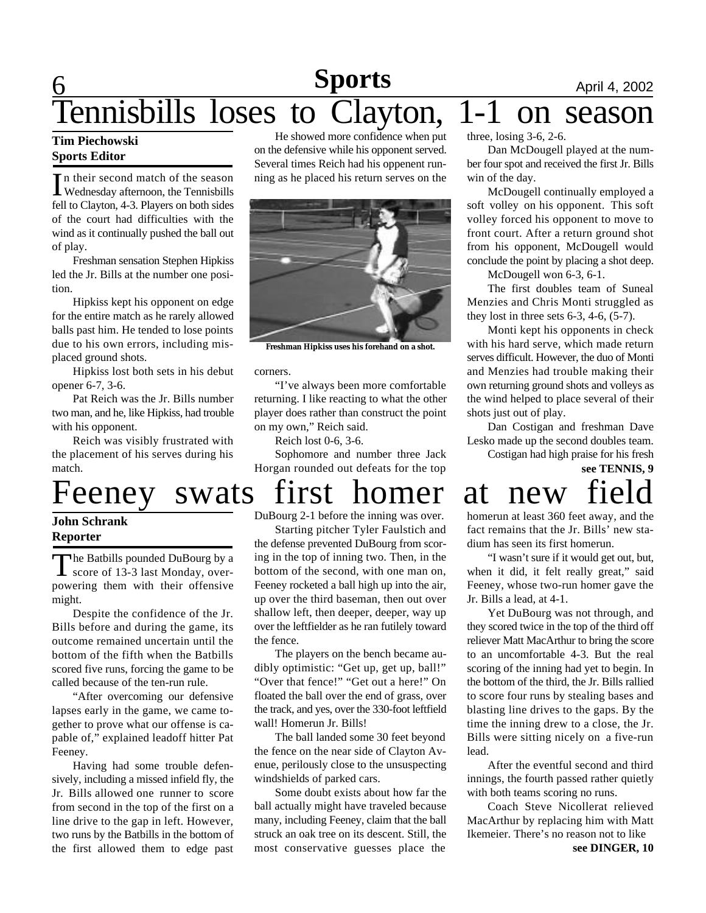## **6 News Sports April 4, 2002** Tennisbills loses to Clayton, 1-1 on season **Sports**

In their second match of the season<br>Wednesday afternoon, the Tennisbills n their second match of the season fell to Clayton, 4-3. Players on both sides of the court had difficulties with the wind as it continually pushed the ball out of play.

Freshman sensation Stephen Hipkiss led the Jr. Bills at the number one position.

Hipkiss kept his opponent on edge for the entire match as he rarely allowed balls past him. He tended to lose points due to his own errors, including misplaced ground shots.

Hipkiss lost both sets in his debut opener 6-7, 3-6.

Pat Reich was the Jr. Bills number two man, and he, like Hipkiss, had trouble with his opponent.

Reich was visibly frustrated with the placement of his serves during his match.

#### **John Schrank Reporter**

The Batbills pounded DuBourg by a<br>score of 13-3 last Monday, over-The Batbills pounded DuBourg by a powering them with their offensive might.

Despite the confidence of the Jr. Bills before and during the game, its outcome remained uncertain until the bottom of the fifth when the Batbills scored five runs, forcing the game to be called because of the ten-run rule.

"After overcoming our defensive lapses early in the game, we came together to prove what our offense is capable of," explained leadoff hitter Pat Feeney.

Having had some trouble defensively, including a missed infield fly, the Jr. Bills allowed one runner to score from second in the top of the first on a line drive to the gap in left. However, two runs by the Batbills in the bottom of the first allowed them to edge past

He showed more confidence when put on the defensive while his opponent served. Several times Reich had his oppenent running as he placed his return serves on the



**Freshman Hipkiss uses his forehand on a shot.**

corners.

"I've always been more comfortable returning. I like reacting to what the other player does rather than construct the point on my own," Reich said.

Reich lost 0-6, 3-6.

Sophomore and number three Jack Horgan rounded out defeats for the top

# Feeney swats first homer at new

DuBourg 2-1 before the inning was over.

Starting pitcher Tyler Faulstich and the defense prevented DuBourg from scoring in the top of inning two. Then, in the bottom of the second, with one man on, Feeney rocketed a ball high up into the air, up over the third baseman, then out over shallow left, then deeper, deeper, way up over the leftfielder as he ran futilely toward the fence.

The players on the bench became audibly optimistic: "Get up, get up, ball!" "Over that fence!" "Get out a here!" On floated the ball over the end of grass, over the track, and yes, over the 330-foot leftfield wall! Homerun Jr. Bills!

The ball landed some 30 feet beyond the fence on the near side of Clayton Avenue, perilously close to the unsuspecting windshields of parked cars.

Some doubt exists about how far the ball actually might have traveled because many, including Feeney, claim that the ball struck an oak tree on its descent. Still, the most conservative guesses place the

three, losing 3-6, 2-6.

Dan McDougell played at the number four spot and received the first Jr. Bills win of the day.

McDougell continually employed a soft volley on his opponent. This soft volley forced his opponent to move to front court. After a return ground shot from his opponent, McDougell would conclude the point by placing a shot deep.

McDougell won 6-3, 6-1.

The first doubles team of Suneal Menzies and Chris Monti struggled as they lost in three sets 6-3, 4-6, (5-7).

Monti kept his opponents in check with his hard serve, which made return serves difficult. However, the duo of Monti and Menzies had trouble making their own returning ground shots and volleys as the wind helped to place several of their shots just out of play.

Dan Costigan and freshman Dave Lesko made up the second doubles team.

# Costigan had high praise for his fresh **see TENNIS, 9**

homerun at least 360 feet away, and the fact remains that the Jr. Bills' new stadium has seen its first homerun.

"I wasn't sure if it would get out, but, when it did, it felt really great," said Feeney, whose two-run homer gave the Jr. Bills a lead, at 4-1.

Yet DuBourg was not through, and they scored twice in the top of the third off reliever Matt MacArthur to bring the score to an uncomfortable 4-3. But the real scoring of the inning had yet to begin. In the bottom of the third, the Jr. Bills rallied to score four runs by stealing bases and blasting line drives to the gaps. By the time the inning drew to a close, the Jr. Bills were sitting nicely on a five-run lead.

After the eventful second and third innings, the fourth passed rather quietly with both teams scoring no runs.

Coach Steve Nicollerat relieved MacArthur by replacing him with Matt Ikemeier. There's no reason not to like **see DINGER, 10**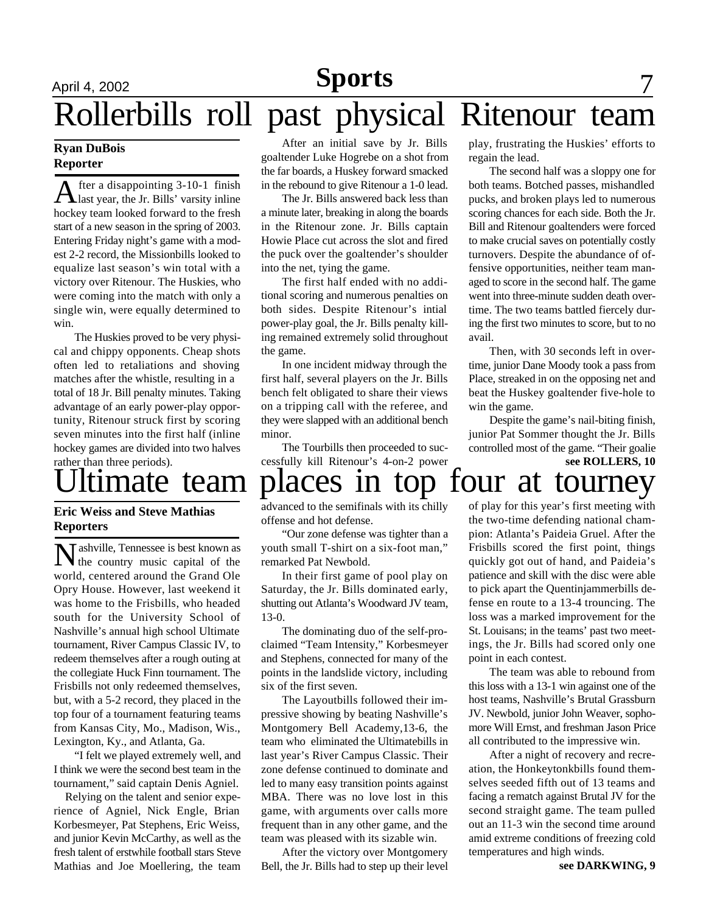# **Sports**

# April 4, 2002 **News** 1 2002 **News** 1 2002 **News** 1 2004 Rollerbills roll past physical Ritenour team

#### **Ryan DuBois Reporter**

After a disappointing 3-10-1 finish<br>allast year, the Jr. Bills' varsity inline fter a disappointing 3-10-1 finish hockey team looked forward to the fresh start of a new season in the spring of 2003. Entering Friday night's game with a modest 2-2 record, the Missionbills looked to equalize last season's win total with a victory over Ritenour. The Huskies, who were coming into the match with only a single win, were equally determined to win.

The Huskies proved to be very physical and chippy opponents. Cheap shots often led to retaliations and shoving matches after the whistle, resulting in a total of 18 Jr. Bill penalty minutes. Taking advantage of an early power-play opportunity, Ritenour struck first by scoring seven minutes into the first half (inline hockey games are divided into two halves rather than three periods).

#### **Eric Weiss and Steve Mathias Reporters**

Nashville, Tennessee is best known as<br>the country music capital of the **T** ashville, Tennessee is best known as world, centered around the Grand Ole Opry House. However, last weekend it was home to the Frisbills, who headed south for the University School of Nashville's annual high school Ultimate tournament, River Campus Classic IV, to redeem themselves after a rough outing at the collegiate Huck Finn tournament. The Frisbills not only redeemed themselves, but, with a 5-2 record, they placed in the top four of a tournament featuring teams from Kansas City, Mo., Madison, Wis., Lexington, Ky., and Atlanta, Ga.

"I felt we played extremely well, and I think we were the second best team in the tournament," said captain Denis Agniel.

 Relying on the talent and senior experience of Agniel, Nick Engle, Brian Korbesmeyer, Pat Stephens, Eric Weiss, and junior Kevin McCarthy, as well as the fresh talent of erstwhile football stars Steve Mathias and Joe Moellering, the team

After an initial save by Jr. Bills goaltender Luke Hogrebe on a shot from the far boards, a Huskey forward smacked in the rebound to give Ritenour a 1-0 lead.

The Jr. Bills answered back less than a minute later, breaking in along the boards in the Ritenour zone. Jr. Bills captain Howie Place cut across the slot and fired the puck over the goaltender's shoulder into the net, tying the game.

The first half ended with no additional scoring and numerous penalties on both sides. Despite Ritenour's intial power-play goal, the Jr. Bills penalty killing remained extremely solid throughout the game.

In one incident midway through the first half, several players on the Jr. Bills bench felt obligated to share their views on a tripping call with the referee, and they were slapped with an additional bench minor.

The Tourbills then proceeded to successfully kill Ritenour's 4-on-2 power play, frustrating the Huskies' efforts to regain the lead.

The second half was a sloppy one for both teams. Botched passes, mishandled pucks, and broken plays led to numerous scoring chances for each side. Both the Jr. Bill and Ritenour goaltenders were forced to make crucial saves on potentially costly turnovers. Despite the abundance of offensive opportunities, neither team managed to score in the second half. The game went into three-minute sudden death overtime. The two teams battled fiercely during the first two minutes to score, but to no avail.

Then, with 30 seconds left in overtime, junior Dane Moody took a pass from Place, streaked in on the opposing net and beat the Huskey goaltender five-hole to win the game.

Despite the game's nail-biting finish, junior Pat Sommer thought the Jr. Bills controlled most of the game. "Their goalie **see ROLLERS, 10**

# timate team places in top four at tourney

advanced to the semifinals with its chilly offense and hot defense.

"Our zone defense was tighter than a youth small T-shirt on a six-foot man," remarked Pat Newbold.

In their first game of pool play on Saturday, the Jr. Bills dominated early, shutting out Atlanta's Woodward JV team, 13-0.

The dominating duo of the self-proclaimed "Team Intensity," Korbesmeyer and Stephens, connected for many of the points in the landslide victory, including six of the first seven.

The Layoutbills followed their impressive showing by beating Nashville's Montgomery Bell Academy,13-6, the team who eliminated the Ultimatebills in last year's River Campus Classic. Their zone defense continued to dominate and led to many easy transition points against MBA. There was no love lost in this game, with arguments over calls more frequent than in any other game, and the team was pleased with its sizable win.

After the victory over Montgomery Bell, the Jr. Bills had to step up their level of play for this year's first meeting with the two-time defending national champion: Atlanta's Paideia Gruel. After the Frisbills scored the first point, things quickly got out of hand, and Paideia's patience and skill with the disc were able to pick apart the Quentinjammerbills defense en route to a 13-4 trouncing. The loss was a marked improvement for the St. Louisans; in the teams' past two meetings, the Jr. Bills had scored only one point in each contest.

The team was able to rebound from this loss with a 13-1 win against one of the host teams, Nashville's Brutal Grassburn JV. Newbold, junior John Weaver, sophomore Will Ernst, and freshman Jason Price all contributed to the impressive win.

After a night of recovery and recreation, the Honkeytonkbills found themselves seeded fifth out of 13 teams and facing a rematch against Brutal JV for the second straight game. The team pulled out an 11-3 win the second time around amid extreme conditions of freezing cold temperatures and high winds.

**see DARKWING, 9**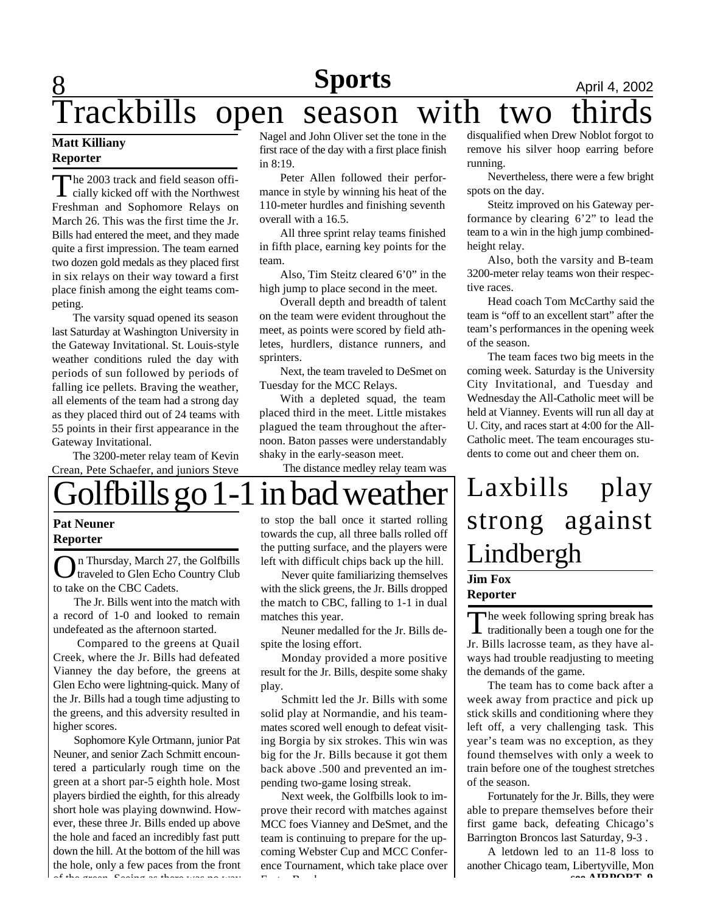#### **8 Sports April 4, 2002 Sports**

# Trackbills open season with two

#### **Matt Killiany Reporter**

The 2003 track and field season offi-<br>cially kicked off with the Northwest he 2003 track and field season offi-Freshman and Sophomore Relays on March 26. This was the first time the Jr. Bills had entered the meet, and they made quite a first impression. The team earned two dozen gold medals as they placed first in six relays on their way toward a first place finish among the eight teams competing.

The varsity squad opened its season last Saturday at Washington University in the Gateway Invitational. St. Louis-style weather conditions ruled the day with periods of sun followed by periods of falling ice pellets. Braving the weather, all elements of the team had a strong day as they placed third out of 24 teams with 55 points in their first appearance in the Gateway Invitational.

The 3200-meter relay team of Kevin Crean, Pete Schaefer, and juniors Steve

Nagel and John Oliver set the tone in the first race of the day with a first place finish in 8:19.

Peter Allen followed their performance in style by winning his heat of the 110-meter hurdles and finishing seventh overall with a 16.5.

All three sprint relay teams finished in fifth place, earning key points for the team.

Also, Tim Steitz cleared 6'0" in the high jump to place second in the meet.

Overall depth and breadth of talent on the team were evident throughout the meet, as points were scored by field athletes, hurdlers, distance runners, and sprinters.

Next, the team traveled to DeSmet on Tuesday for the MCC Relays.

With a depleted squad, the team placed third in the meet. Little mistakes plagued the team throughout the afternoon. Baton passes were understandably shaky in the early-season meet.

The distance medley relay team was

disqualified when Drew Noblot forgot to remove his silver hoop earring before running.

Nevertheless, there were a few bright spots on the day.

Steitz improved on his Gateway performance by clearing 6'2" to lead the team to a win in the high jump combinedheight relay.

Also, both the varsity and B-team 3200-meter relay teams won their respective races.

Head coach Tom McCarthy said the team is "off to an excellent start" after the team's performances in the opening week of the season.

The team faces two big meets in the coming week. Saturday is the University City Invitational, and Tuesday and Wednesday the All-Catholic meet will be held at Vianney. Events will run all day at U. City, and races start at 4:00 for the All-Catholic meet. The team encourages students to come out and cheer them on.

# Golfbills go 1-1 in bad weather

#### **Pat Neuner Reporter**

On Thursday, March 27, the Golfbills<br>traveled to Glen Echo Country Club n Thursday, March 27, the Golfbills to take on the CBC Cadets.

The Jr. Bills went into the match with a record of 1-0 and looked to remain undefeated as the afternoon started.

 Compared to the greens at Quail Creek, where the Jr. Bills had defeated Vianney the day before, the greens at Glen Echo were lightning-quick. Many of the Jr. Bills had a tough time adjusting to the greens, and this adversity resulted in higher scores.

Sophomore Kyle Ortmann, junior Pat Neuner, and senior Zach Schmitt encountered a particularly rough time on the green at a short par-5 eighth hole. Most players birdied the eighth, for this already short hole was playing downwind. However, these three Jr. Bills ended up above the hole and faced an incredibly fast putt down the hill. At the bottom of the hill was the hole, only a few paces from the front of the green. Seeing as there was no way

to stop the ball once it started rolling towards the cup, all three balls rolled off the putting surface, and the players were left with difficult chips back up the hill.

Never quite familiarizing themselves with the slick greens, the Jr. Bills dropped the match to CBC, falling to 1-1 in dual matches this year.

Neuner medalled for the Jr. Bills despite the losing effort.

Monday provided a more positive result for the Jr. Bills, despite some shaky play.

Schmitt led the Jr. Bills with some solid play at Normandie, and his teammates scored well enough to defeat visiting Borgia by six strokes. This win was big for the Jr. Bills because it got them back above .500 and prevented an impending two-game losing streak.

Next week, the Golfbills look to improve their record with matches against MCC foes Vianney and DeSmet, and the team is continuing to prepare for the upcoming Webster Cup and MCC Conference Tournament, which take place over Easter Break.

# Laxbills play strong against Lindbergh **Jim Fox**

#### **Reporter**

The week following spring break has<br>traditionally been a tough one for the **The week following spring break has** Jr. Bills lacrosse team, as they have always had trouble readjusting to meeting the demands of the game.

The team has to come back after a week away from practice and pick up stick skills and conditioning where they left off, a very challenging task. This year's team was no exception, as they found themselves with only a week to train before one of the toughest stretches of the season.

Fortunately for the Jr. Bills, they were able to prepare themselves before their first game back, defeating Chicago's Barrington Broncos last Saturday, 9-3 .

A letdown led to an 11-8 loss to another Chicago team, Libertyville, Mon **see AIDDADT A**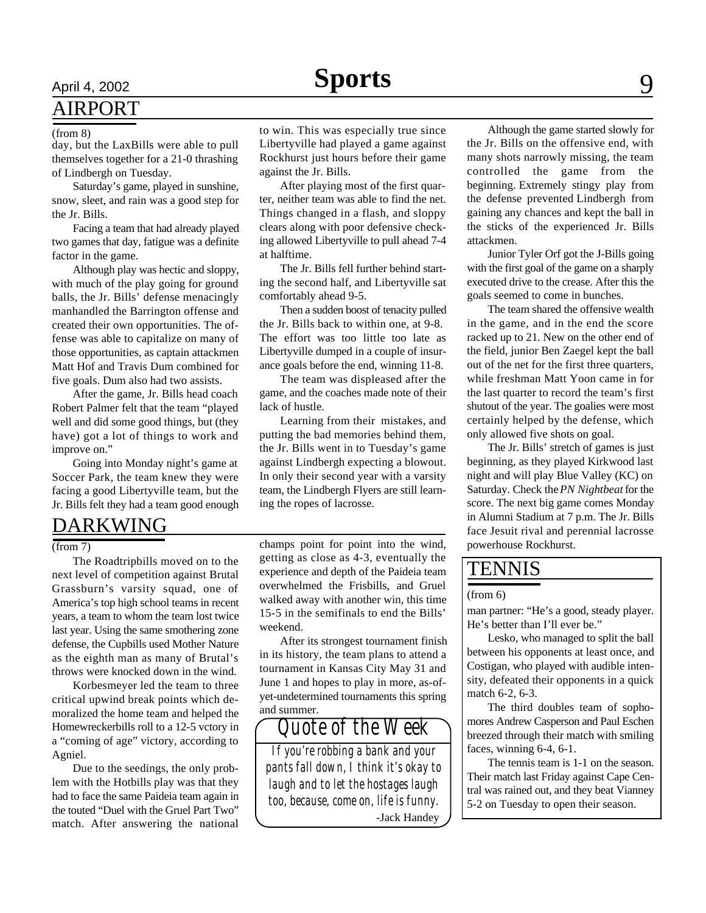## AIRPORT

#### (from 8)

day, but the LaxBills were able to pull themselves together for a 21-0 thrashing of Lindbergh on Tuesday.

Saturday's game, played in sunshine, snow, sleet, and rain was a good step for the Jr. Bills.

Facing a team that had already played two games that day, fatigue was a definite factor in the game.

Although play was hectic and sloppy, with much of the play going for ground balls, the Jr. Bills' defense menacingly manhandled the Barrington offense and created their own opportunities. The offense was able to capitalize on many of those opportunities, as captain attackmen Matt Hof and Travis Dum combined for five goals. Dum also had two assists.

After the game, Jr. Bills head coach Robert Palmer felt that the team "played well and did some good things, but (they have) got a lot of things to work and improve on."

Going into Monday night's game at Soccer Park, the team knew they were facing a good Libertyville team, but the Jr. Bills felt they had a team good enough

## DARKWING

(from 7)

The Roadtripbills moved on to the next level of competition against Brutal Grassburn's varsity squad, one of America's top high school teams in recent years, a team to whom the team lost twice last year. Using the same smothering zone defense, the Cupbills used Mother Nature as the eighth man as many of Brutal's throws were knocked down in the wind.

Korbesmeyer led the team to three critical upwind break points which demoralized the home team and helped the Homewreckerbills roll to a 12-5 vctory in a "coming of age" victory, according to Agniel.

Due to the seedings, the only problem with the Hotbills play was that they had to face the same Paideia team again in the touted "Duel with the Gruel Part Two" match. After answering the national

to win. This was especially true since Libertyville had played a game against Rockhurst just hours before their game against the Jr. Bills.

After playing most of the first quarter, neither team was able to find the net. Things changed in a flash, and sloppy clears along with poor defensive checking allowed Libertyville to pull ahead 7-4 at halftime.

The Jr. Bills fell further behind starting the second half, and Libertyville sat comfortably ahead 9-5.

Then a sudden boost of tenacity pulled the Jr. Bills back to within one, at 9-8. The effort was too little too late as Libertyville dumped in a couple of insurance goals before the end, winning 11-8.

The team was displeased after the game, and the coaches made note of their lack of hustle.

Learning from their mistakes, and putting the bad memories behind them, the Jr. Bills went in to Tuesday's game against Lindbergh expecting a blowout. In only their second year with a varsity team, the Lindbergh Flyers are still learning the ropes of lacrosse.

champs point for point into the wind, getting as close as 4-3, eventually the experience and depth of the Paideia team overwhelmed the Frisbills, and Gruel walked away with another win, this time 15-5 in the semifinals to end the Bills' weekend.

After its strongest tournament finish in its history, the team plans to attend a tournament in Kansas City May 31 and June 1 and hopes to play in more, as-ofyet-undetermined tournaments this spring and summer.

*If you're robbing a bank and your pants fall down, I think it's okay to laugh and to let the hostages laugh too, because, come on, life is funny.* -Jack Handey

*Quote of the Week*

Although the game started slowly for the Jr. Bills on the offensive end, with many shots narrowly missing, the team controlled the game from the beginning. Extremely stingy play from the defense prevented Lindbergh from gaining any chances and kept the ball in the sticks of the experienced Jr. Bills attackmen.

Junior Tyler Orf got the J-Bills going with the first goal of the game on a sharply executed drive to the crease. After this the goals seemed to come in bunches.

The team shared the offensive wealth in the game, and in the end the score racked up to 21. New on the other end of the field, junior Ben Zaegel kept the ball out of the net for the first three quarters, while freshman Matt Yoon came in for the last quarter to record the team's first shutout of the year. The goalies were most certainly helped by the defense, which only allowed five shots on goal.

The Jr. Bills' stretch of games is just beginning, as they played Kirkwood last night and will play Blue Valley (KC) on Saturday. Check the *PN Nightbeat* for the score. The next big game comes Monday in Alumni Stadium at 7 p.m. The Jr. Bills face Jesuit rival and perennial lacrosse powerhouse Rockhurst.

#### TENNIS

#### (from 6)

man partner: "He's a good, steady player. He's better than I'll ever be."

Lesko, who managed to split the ball between his opponents at least once, and Costigan, who played with audible intensity, defeated their opponents in a quick match 6-2, 6-3.

The third doubles team of sophomores Andrew Casperson and Paul Eschen breezed through their match with smiling faces, winning 6-4, 6-1.

The tennis team is 1-1 on the season. Their match last Friday against Cape Central was rained out, and they beat Vianney 5-2 on Tuesday to open their season.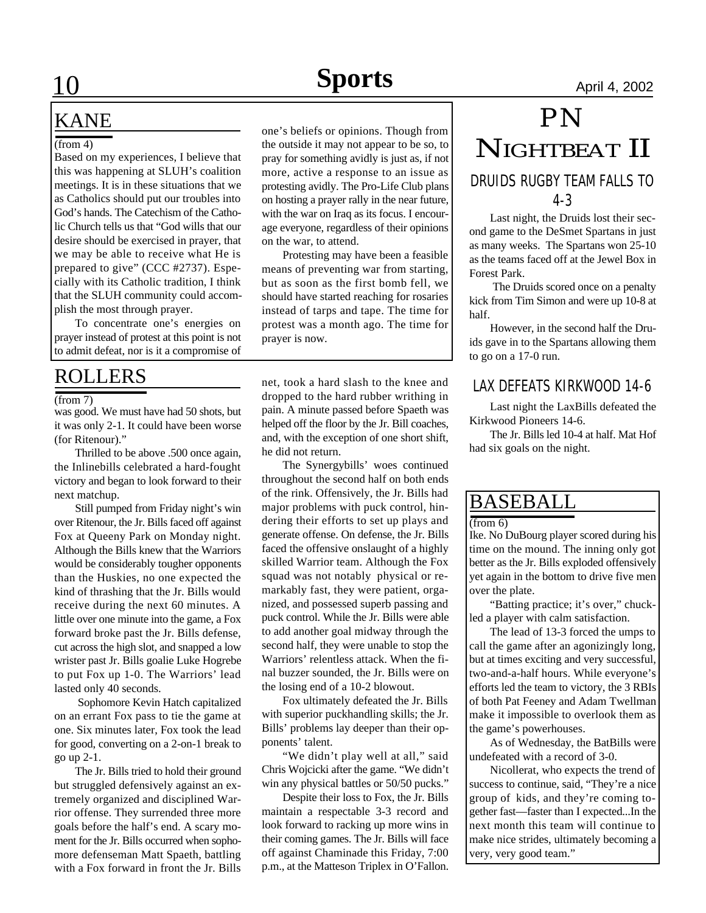## KANE

#### (from 4)

Based on my experiences, I believe that this was happening at SLUH's coalition meetings. It is in these situations that we as Catholics should put our troubles into God's hands. The Catechism of the Catholic Church tells us that "God wills that our desire should be exercised in prayer, that we may be able to receive what He is prepared to give" (CCC #2737). Especially with its Catholic tradition, I think that the SLUH community could accomplish the most through prayer.

To concentrate one's energies on prayer instead of protest at this point is not to admit defeat, nor is it a compromise of

#### (from 7)

was good. We must have had 50 shots, but it was only 2-1. It could have been worse (for Ritenour)."

Thrilled to be above .500 once again, the Inlinebills celebrated a hard-fought victory and began to look forward to their next matchup.

Still pumped from Friday night's win over Ritenour, the Jr. Bills faced off against Fox at Queeny Park on Monday night. Although the Bills knew that the Warriors would be considerably tougher opponents than the Huskies, no one expected the kind of thrashing that the Jr. Bills would receive during the next 60 minutes. A little over one minute into the game, a Fox forward broke past the Jr. Bills defense, cut across the high slot, and snapped a low wrister past Jr. Bills goalie Luke Hogrebe to put Fox up 1-0. The Warriors' lead lasted only 40 seconds.

 Sophomore Kevin Hatch capitalized on an errant Fox pass to tie the game at one. Six minutes later, Fox took the lead for good, converting on a 2-on-1 break to go up 2-1.

The Jr. Bills tried to hold their ground but struggled defensively against an extremely organized and disciplined Warrior offense. They surrended three more goals before the half's end. A scary moment for the Jr. Bills occurred when sophomore defenseman Matt Spaeth, battling with a Fox forward in front the Jr. Bills one's beliefs or opinions. Though from the outside it may not appear to be so, to pray for something avidly is just as, if not more, active a response to an issue as protesting avidly. The Pro-Life Club plans on hosting a prayer rally in the near future, with the war on Iraq as its focus. I encourage everyone, regardless of their opinions on the war, to attend.

Protesting may have been a feasible means of preventing war from starting, but as soon as the first bomb fell, we should have started reaching for rosaries instead of tarps and tape. The time for protest was a month ago. The time for prayer is now.

ROLLERS net, took a hard slash to the knee and dropped to the hard rubber writhing in pain. A minute passed before Spaeth was helped off the floor by the Jr. Bill coaches, and, with the exception of one short shift, he did not return.

> The Synergybills' woes continued throughout the second half on both ends of the rink. Offensively, the Jr. Bills had major problems with puck control, hindering their efforts to set up plays and generate offense. On defense, the Jr. Bills faced the offensive onslaught of a highly skilled Warrior team. Although the Fox squad was not notably physical or remarkably fast, they were patient, organized, and possessed superb passing and puck control. While the Jr. Bills were able to add another goal midway through the second half, they were unable to stop the Warriors' relentless attack. When the final buzzer sounded, the Jr. Bills were on the losing end of a 10-2 blowout.

> Fox ultimately defeated the Jr. Bills with superior puckhandling skills; the Jr. Bills' problems lay deeper than their opponents' talent.

> "We didn't play well at all," said Chris Wojcicki after the game. "We didn't win any physical battles or 50/50 pucks."

> Despite their loss to Fox, the Jr. Bills maintain a respectable 3-3 record and look forward to racking up more wins in their coming games. The Jr. Bills will face off against Chaminade this Friday, 7:00 p.m., at the Matteson Triplex in O'Fallon.

# *PN* NIGHTBEAT II DRUIDS RUGBY TEAM FALLS TO 4-3

Last night, the Druids lost their second game to the DeSmet Spartans in just as many weeks. The Spartans won 25-10 as the teams faced off at the Jewel Box in Forest Park.

 The Druids scored once on a penalty kick from Tim Simon and were up 10-8 at half.

However, in the second half the Druids gave in to the Spartans allowing them to go on a 17-0 run.

#### LAX DEFEATS KIRKWOOD 14-6

Last night the LaxBills defeated the Kirkwood Pioneers 14-6.

The Jr. Bills led 10-4 at half. Mat Hof had six goals on the night.

## BASEBALL

(from 6)

Ike. No DuBourg player scored during his time on the mound. The inning only got better as the Jr. Bills exploded offensively yet again in the bottom to drive five men over the plate.

"Batting practice; it's over," chuckled a player with calm satisfaction.

The lead of 13-3 forced the umps to call the game after an agonizingly long, but at times exciting and very successful, two-and-a-half hours. While everyone's efforts led the team to victory, the 3 RBIs of both Pat Feeney and Adam Twellman make it impossible to overlook them as the game's powerhouses.

As of Wednesday, the BatBills were undefeated with a record of 3-0.

Nicollerat, who expects the trend of success to continue, said, "They're a nice group of kids, and they're coming together fast—faster than I expected...In the next month this team will continue to make nice strides, ultimately becoming a very, very good team."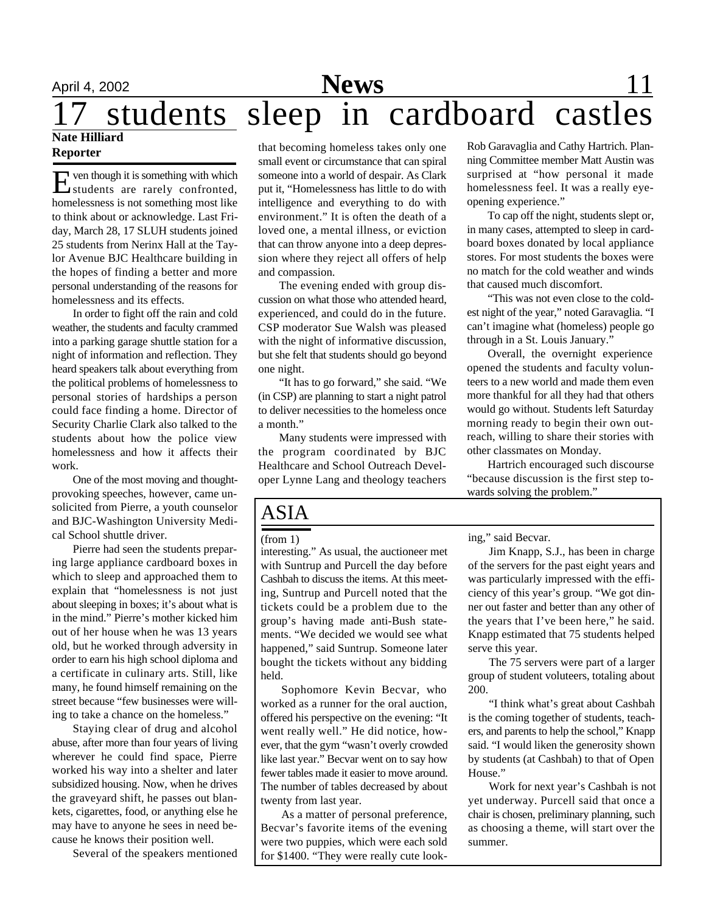#### **Nate Hilliard Reporter**

E ven though it is something with which<br>students are rarely confronted, students are rarely confronted, homelessness is not something most like to think about or acknowledge. Last Friday, March 28, 17 SLUH students joined 25 students from Nerinx Hall at the Taylor Avenue BJC Healthcare building in the hopes of finding a better and more personal understanding of the reasons for homelessness and its effects.

In order to fight off the rain and cold weather, the students and faculty crammed into a parking garage shuttle station for a night of information and reflection. They heard speakers talk about everything from the political problems of homelessness to personal stories of hardships a person could face finding a home. Director of Security Charlie Clark also talked to the students about how the police view homelessness and how it affects their work.

One of the most moving and thoughtprovoking speeches, however, came unsolicited from Pierre, a youth counselor and BJC-Washington University Medical School shuttle driver.

Pierre had seen the students preparing large appliance cardboard boxes in which to sleep and approached them to explain that "homelessness is not just about sleeping in boxes; it's about what is in the mind." Pierre's mother kicked him out of her house when he was 13 years old, but he worked through adversity in order to earn his high school diploma and a certificate in culinary arts. Still, like many, he found himself remaining on the street because "few businesses were willing to take a chance on the homeless."

Staying clear of drug and alcohol abuse, after more than four years of living wherever he could find space, Pierre worked his way into a shelter and later subsidized housing. Now, when he drives the graveyard shift, he passes out blankets, cigarettes, food, or anything else he may have to anyone he sees in need because he knows their position well.

Several of the speakers mentioned

that becoming homeless takes only one small event or circumstance that can spiral someone into a world of despair. As Clark put it, "Homelessness has little to do with intelligence and everything to do with environment." It is often the death of a loved one, a mental illness, or eviction that can throw anyone into a deep depression where they reject all offers of help and compassion.

The evening ended with group discussion on what those who attended heard, experienced, and could do in the future. CSP moderator Sue Walsh was pleased with the night of informative discussion, but she felt that students should go beyond one night.

"It has to go forward," she said. "We (in CSP) are planning to start a night patrol to deliver necessities to the homeless once a month."

Many students were impressed with the program coordinated by BJC Healthcare and School Outreach Developer Lynne Lang and theology teachers

# ASIA

interesting." As usual, the auctioneer met with Suntrup and Purcell the day before Cashbah to discuss the items. At this meeting, Suntrup and Purcell noted that the tickets could be a problem due to the group's having made anti-Bush statements. "We decided we would see what happened," said Suntrup. Someone later bought the tickets without any bidding held.

Sophomore Kevin Becvar, who worked as a runner for the oral auction, offered his perspective on the evening: "It went really well." He did notice, however, that the gym "wasn't overly crowded like last year." Becvar went on to say how fewer tables made it easier to move around. The number of tables decreased by about twenty from last year.

As a matter of personal preference, Becvar's favorite items of the evening were two puppies, which were each sold for \$1400. "They were really cute lookRob Garavaglia and Cathy Hartrich. Planning Committee member Matt Austin was surprised at "how personal it made homelessness feel. It was a really eyeopening experience."

To cap off the night, students slept or, in many cases, attempted to sleep in cardboard boxes donated by local appliance stores. For most students the boxes were no match for the cold weather and winds that caused much discomfort.

"This was not even close to the coldest night of the year," noted Garavaglia. "I can't imagine what (homeless) people go through in a St. Louis January."

Overall, the overnight experience opened the students and faculty volunteers to a new world and made them even more thankful for all they had that others would go without. Students left Saturday morning ready to begin their own outreach, willing to share their stories with other classmates on Monday.

Hartrich encouraged such discourse "because discussion is the first step towards solving the problem."

(from 1) ing," said Becvar.

Jim Knapp, S.J., has been in charge of the servers for the past eight years and was particularly impressed with the efficiency of this year's group. "We got dinner out faster and better than any other of the years that I've been here," he said. Knapp estimated that 75 students helped serve this year.

The 75 servers were part of a larger group of student voluteers, totaling about 200.

"I think what's great about Cashbah is the coming together of students, teachers, and parents to help the school," Knapp said. "I would liken the generosity shown by students (at Cashbah) to that of Open House."

Work for next year's Cashbah is not yet underway. Purcell said that once a chair is chosen, preliminary planning, such as choosing a theme, will start over the summer.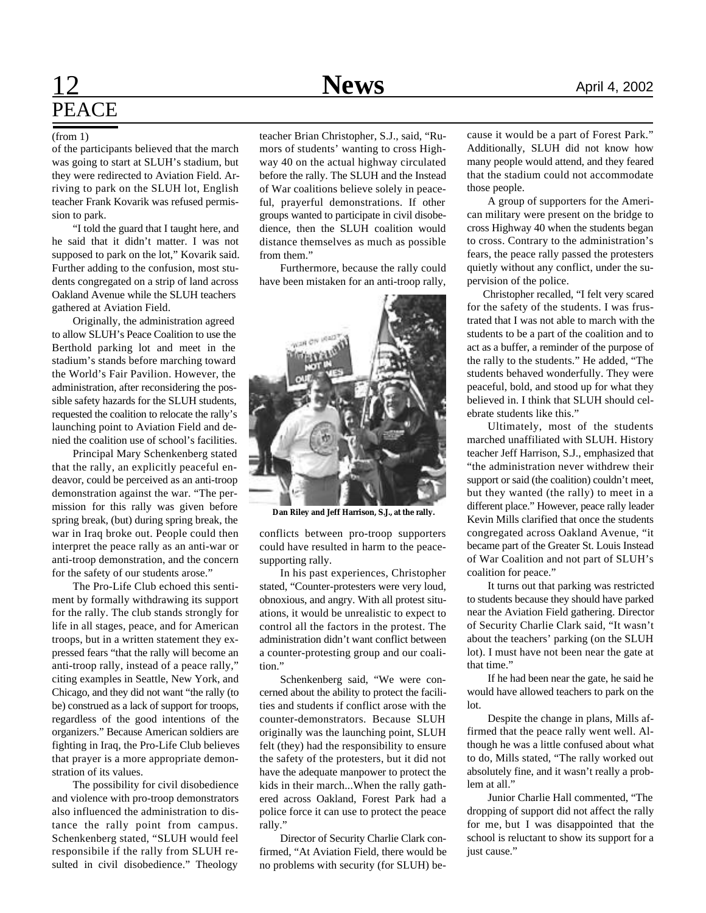# **12 News** April 4, 2002 **PEACE**

of the participants believed that the march was going to start at SLUH's stadium, but they were redirected to Aviation Field. Arriving to park on the SLUH lot, English teacher Frank Kovarik was refused permission to park.

"I told the guard that I taught here, and he said that it didn't matter. I was not supposed to park on the lot," Kovarik said. Further adding to the confusion, most students congregated on a strip of land across Oakland Avenue while the SLUH teachers gathered at Aviation Field.

Originally, the administration agreed to allow SLUH's Peace Coalition to use the Berthold parking lot and meet in the stadium's stands before marching toward the World's Fair Pavilion. However, the administration, after reconsidering the possible safety hazards for the SLUH students, requested the coalition to relocate the rally's launching point to Aviation Field and denied the coalition use of school's facilities.

Principal Mary Schenkenberg stated that the rally, an explicitly peaceful endeavor, could be perceived as an anti-troop demonstration against the war. "The permission for this rally was given before spring break, (but) during spring break, the war in Iraq broke out. People could then interpret the peace rally as an anti-war or anti-troop demonstration, and the concern for the safety of our students arose."

The Pro-Life Club echoed this sentiment by formally withdrawing its support for the rally. The club stands strongly for life in all stages, peace, and for American troops, but in a written statement they expressed fears "that the rally will become an anti-troop rally, instead of a peace rally," citing examples in Seattle, New York, and Chicago, and they did not want "the rally (to be) construed as a lack of support for troops, regardless of the good intentions of the organizers." Because American soldiers are fighting in Iraq, the Pro-Life Club believes that prayer is a more appropriate demonstration of its values.

The possibility for civil disobedience and violence with pro-troop demonstrators also influenced the administration to distance the rally point from campus. Schenkenberg stated, "SLUH would feel responsibile if the rally from SLUH resulted in civil disobedience." Theology

(from 1) teacher Brian Christopher, S.J., said, "Rumors of students' wanting to cross Highway 40 on the actual highway circulated before the rally. The SLUH and the Instead of War coalitions believe solely in peaceful, prayerful demonstrations. If other groups wanted to participate in civil disobedience, then the SLUH coalition would distance themselves as much as possible from them."

> Furthermore, because the rally could have been mistaken for an anti-troop rally,



**Dan Riley and Jeff Harrison, S.J., at the rally.**

conflicts between pro-troop supporters could have resulted in harm to the peacesupporting rally.

In his past experiences, Christopher stated, "Counter-protesters were very loud, obnoxious, and angry. With all protest situations, it would be unrealistic to expect to control all the factors in the protest. The administration didn't want conflict between a counter-protesting group and our coalition."

Schenkenberg said, "We were concerned about the ability to protect the facilities and students if conflict arose with the counter-demonstrators. Because SLUH originally was the launching point, SLUH felt (they) had the responsibility to ensure the safety of the protesters, but it did not have the adequate manpower to protect the kids in their march...When the rally gathered across Oakland, Forest Park had a police force it can use to protect the peace rally."

Director of Security Charlie Clark confirmed, "At Aviation Field, there would be no problems with security (for SLUH) because it would be a part of Forest Park." Additionally, SLUH did not know how many people would attend, and they feared that the stadium could not accommodate those people.

A group of supporters for the American military were present on the bridge to cross Highway 40 when the students began to cross. Contrary to the administration's fears, the peace rally passed the protesters quietly without any conflict, under the supervision of the police.

 Christopher recalled, "I felt very scared for the safety of the students. I was frustrated that I was not able to march with the students to be a part of the coalition and to act as a buffer, a reminder of the purpose of the rally to the students." He added, "The students behaved wonderfully. They were peaceful, bold, and stood up for what they believed in. I think that SLUH should celebrate students like this."

Ultimately, most of the students marched unaffiliated with SLUH. History teacher Jeff Harrison, S.J., emphasized that "the administration never withdrew their support or said (the coalition) couldn't meet, but they wanted (the rally) to meet in a different place." However, peace rally leader Kevin Mills clarified that once the students congregated across Oakland Avenue, "it became part of the Greater St. Louis Instead of War Coalition and not part of SLUH's coalition for peace."

It turns out that parking was restricted to students because they should have parked near the Aviation Field gathering. Director of Security Charlie Clark said, "It wasn't about the teachers' parking (on the SLUH lot). I must have not been near the gate at that time."

If he had been near the gate, he said he would have allowed teachers to park on the lot.

Despite the change in plans, Mills affirmed that the peace rally went well. Although he was a little confused about what to do, Mills stated, "The rally worked out absolutely fine, and it wasn't really a problem at all."

Junior Charlie Hall commented, "The dropping of support did not affect the rally for me, but I was disappointed that the school is reluctant to show its support for a just cause."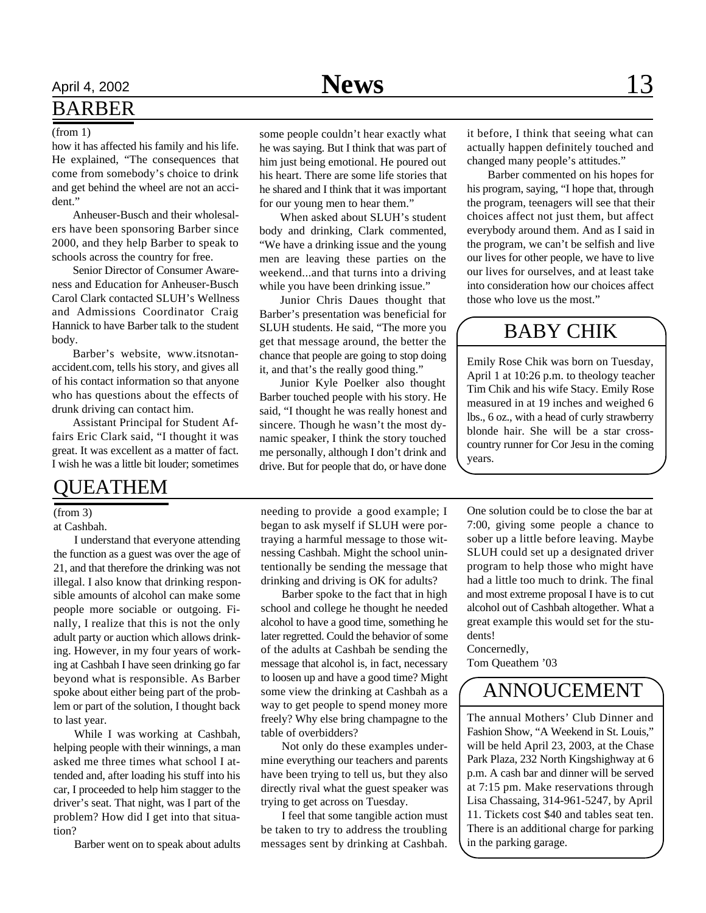## BARBER

#### (from 1)

how it has affected his family and his life. He explained, "The consequences that come from somebody's choice to drink and get behind the wheel are not an accident."

Anheuser-Busch and their wholesalers have been sponsoring Barber since 2000, and they help Barber to speak to schools across the country for free.

Senior Director of Consumer Awareness and Education for Anheuser-Busch Carol Clark contacted SLUH's Wellness and Admissions Coordinator Craig Hannick to have Barber talk to the student body.

Barber's website, www.itsnotanaccident.com, tells his story, and gives all of his contact information so that anyone who has questions about the effects of drunk driving can contact him.

Assistant Principal for Student Affairs Eric Clark said, "I thought it was great. It was excellent as a matter of fact. I wish he was a little bit louder; sometimes

#### QUEATHEM

#### (from 3)

at Cashbah.

I understand that everyone attending the function as a guest was over the age of 21, and that therefore the drinking was not illegal. I also know that drinking responsible amounts of alcohol can make some people more sociable or outgoing. Finally, I realize that this is not the only adult party or auction which allows drinking. However, in my four years of working at Cashbah I have seen drinking go far beyond what is responsible. As Barber spoke about either being part of the problem or part of the solution, I thought back to last year.

While I was working at Cashbah, helping people with their winnings, a man asked me three times what school I attended and, after loading his stuff into his car, I proceeded to help him stagger to the driver's seat. That night, was I part of the problem? How did I get into that situation?

Barber went on to speak about adults

some people couldn't hear exactly what he was saying. But I think that was part of him just being emotional. He poured out his heart. There are some life stories that he shared and I think that it was important for our young men to hear them."

When asked about SLUH's student body and drinking, Clark commented, "We have a drinking issue and the young men are leaving these parties on the weekend...and that turns into a driving while you have been drinking issue."

Junior Chris Daues thought that Barber's presentation was beneficial for SLUH students. He said, "The more you get that message around, the better the chance that people are going to stop doing it, and that's the really good thing."

Junior Kyle Poelker also thought Barber touched people with his story. He said, "I thought he was really honest and sincere. Though he wasn't the most dynamic speaker, I think the story touched me personally, although I don't drink and drive. But for people that do, or have done

it before, I think that seeing what can actually happen definitely touched and changed many people's attitudes."

Barber commented on his hopes for his program, saying, "I hope that, through the program, teenagers will see that their choices affect not just them, but affect everybody around them. And as I said in the program, we can't be selfish and live our lives for other people, we have to live our lives for ourselves, and at least take into consideration how our choices affect those who love us the most."

## BABY CHIK

Emily Rose Chik was born on Tuesday, April 1 at 10:26 p.m. to theology teacher Tim Chik and his wife Stacy. Emily Rose measured in at 19 inches and weighed 6 lbs., 6 oz., with a head of curly strawberry blonde hair. She will be a star crosscountry runner for Cor Jesu in the coming years.

needing to provide a good example; I began to ask myself if SLUH were portraying a harmful message to those witnessing Cashbah. Might the school unintentionally be sending the message that drinking and driving is OK for adults?

Barber spoke to the fact that in high school and college he thought he needed alcohol to have a good time, something he later regretted. Could the behavior of some of the adults at Cashbah be sending the message that alcohol is, in fact, necessary to loosen up and have a good time? Might some view the drinking at Cashbah as a way to get people to spend money more freely? Why else bring champagne to the table of overbidders?

Not only do these examples undermine everything our teachers and parents have been trying to tell us, but they also directly rival what the guest speaker was trying to get across on Tuesday.

I feel that some tangible action must be taken to try to address the troubling messages sent by drinking at Cashbah.

One solution could be to close the bar at 7:00, giving some people a chance to sober up a little before leaving. Maybe SLUH could set up a designated driver program to help those who might have had a little too much to drink. The final and most extreme proposal I have is to cut alcohol out of Cashbah altogether. What a great example this would set for the students!

Concernedly, Tom Queathem '03

## ANNOUCEMENT

The annual Mothers' Club Dinner and Fashion Show, "A Weekend in St. Louis," will be held April 23, 2003, at the Chase Park Plaza, 232 North Kingshighway at 6 p.m. A cash bar and dinner will be served at 7:15 pm. Make reservations through Lisa Chassaing, 314-961-5247, by April 11. Tickets cost \$40 and tables seat ten. There is an additional charge for parking in the parking garage.